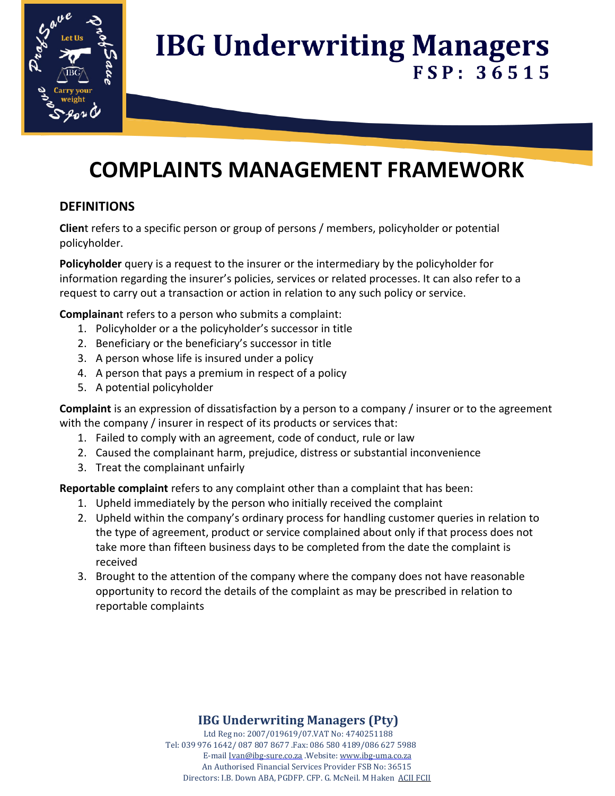

## **COMPLAINTS MANAGEMENT FRAMEWORK**

## **DEFINITIONS**

**Clien**t refers to a specific person or group of persons / members, policyholder or potential policyholder.

**Policyholder** query is a request to the insurer or the intermediary by the policyholder for information regarding the insurer's policies, services or related processes. It can also refer to a request to carry out a transaction or action in relation to any such policy or service.

**Complainan**t refers to a person who submits a complaint:

- 1. Policyholder or a the policyholder's successor in title
- 2. Beneficiary or the beneficiary's successor in title
- 3. A person whose life is insured under a policy
- 4. A person that pays a premium in respect of a policy
- 5. A potential policyholder

**Complaint** is an expression of dissatisfaction by a person to a company / insurer or to the agreement with the company / insurer in respect of its products or services that:

- 1. Failed to comply with an agreement, code of conduct, rule or law
- 2. Caused the complainant harm, prejudice, distress or substantial inconvenience
- 3. Treat the complainant unfairly

**Reportable complaint** refers to any complaint other than a complaint that has been:

- 1. Upheld immediately by the person who initially received the complaint
- 2. Upheld within the company's ordinary process for handling customer queries in relation to the type of agreement, product or service complained about only if that process does not take more than fifteen business days to be completed from the date the complaint is received
- 3. Brought to the attention of the company where the company does not have reasonable opportunity to record the details of the complaint as may be prescribed in relation to reportable complaints

## **IBG Underwriting Managers (Pty)**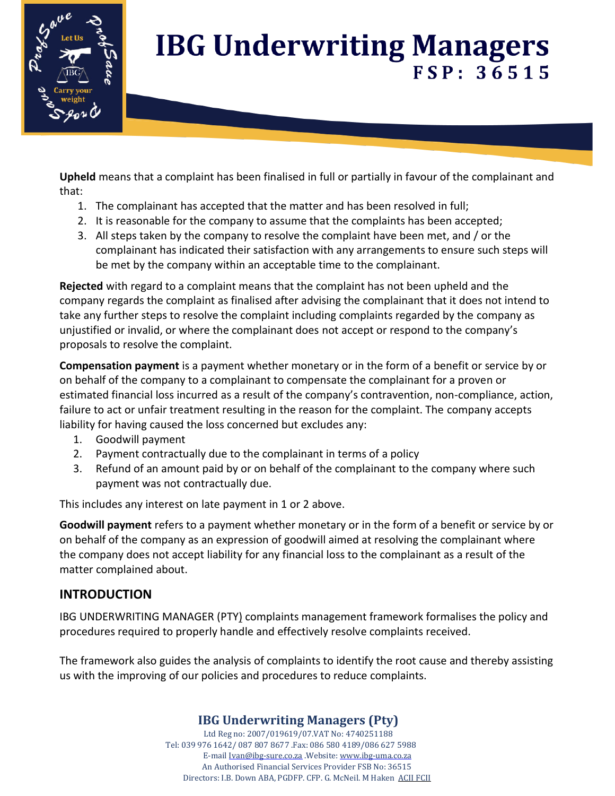

**Upheld** means that a complaint has been finalised in full or partially in favour of the complainant and that:

- 1. The complainant has accepted that the matter and has been resolved in full;
- 2. It is reasonable for the company to assume that the complaints has been accepted;
- 3. All steps taken by the company to resolve the complaint have been met, and / or the complainant has indicated their satisfaction with any arrangements to ensure such steps will be met by the company within an acceptable time to the complainant.

**Rejected** with regard to a complaint means that the complaint has not been upheld and the company regards the complaint as finalised after advising the complainant that it does not intend to take any further steps to resolve the complaint including complaints regarded by the company as unjustified or invalid, or where the complainant does not accept or respond to the company's proposals to resolve the complaint.

**Compensation payment** is a payment whether monetary or in the form of a benefit or service by or on behalf of the company to a complainant to compensate the complainant for a proven or estimated financial loss incurred as a result of the company's contravention, non-compliance, action, failure to act or unfair treatment resulting in the reason for the complaint. The company accepts liability for having caused the loss concerned but excludes any:

- 1. Goodwill payment
- 2. Payment contractually due to the complainant in terms of a policy
- 3. Refund of an amount paid by or on behalf of the complainant to the company where such payment was not contractually due.

This includes any interest on late payment in 1 or 2 above.

**Goodwill payment** refers to a payment whether monetary or in the form of a benefit or service by or on behalf of the company as an expression of goodwill aimed at resolving the complainant where the company does not accept liability for any financial loss to the complainant as a result of the matter complained about.

## **INTRODUCTION**

IBG UNDERWRITING MANAGER (PTY) complaints management framework formalises the policy and procedures required to properly handle and effectively resolve complaints received.

The framework also guides the analysis of complaints to identify the root cause and thereby assisting us with the improving of our policies and procedures to reduce complaints.

## **IBG Underwriting Managers (Pty)**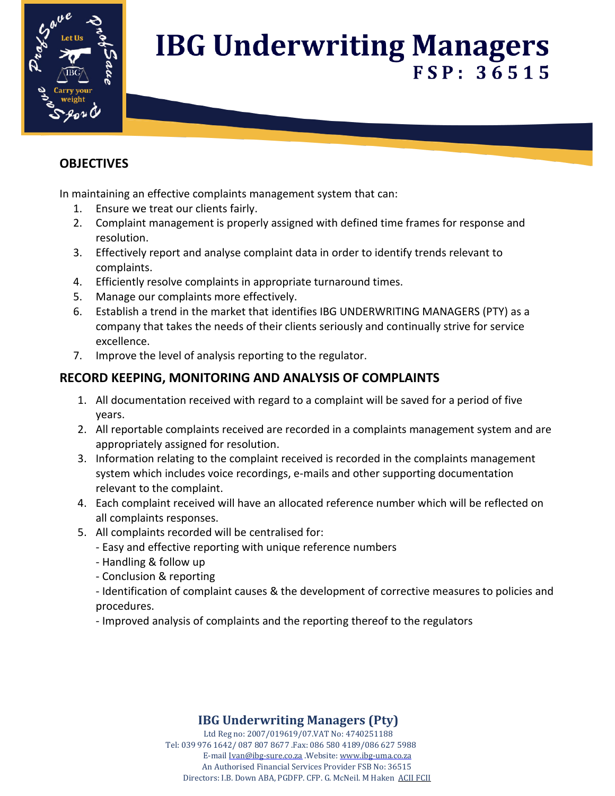

## **OBJECTIVES**

In maintaining an effective complaints management system that can:

- 1. Ensure we treat our clients fairly.
- 2. Complaint management is properly assigned with defined time frames for response and resolution.
- 3. Effectively report and analyse complaint data in order to identify trends relevant to complaints.
- 4. Efficiently resolve complaints in appropriate turnaround times.
- 5. Manage our complaints more effectively.
- 6. Establish a trend in the market that identifies IBG UNDERWRITING MANAGERS (PTY) as a company that takes the needs of their clients seriously and continually strive for service excellence.
- 7. Improve the level of analysis reporting to the regulator.

## **RECORD KEEPING, MONITORING AND ANALYSIS OF COMPLAINTS**

- 1. All documentation received with regard to a complaint will be saved for a period of five years.
- 2. All reportable complaints received are recorded in a complaints management system and are appropriately assigned for resolution.
- 3. Information relating to the complaint received is recorded in the complaints management system which includes voice recordings, e-mails and other supporting documentation relevant to the complaint.
- 4. Each complaint received will have an allocated reference number which will be reflected on all complaints responses.
- 5. All complaints recorded will be centralised for:
	- Easy and effective reporting with unique reference numbers
	- Handling & follow up
	- Conclusion & reporting
	- Identification of complaint causes & the development of corrective measures to policies and procedures.
	- Improved analysis of complaints and the reporting thereof to the regulators

## **IBG Underwriting Managers (Pty)**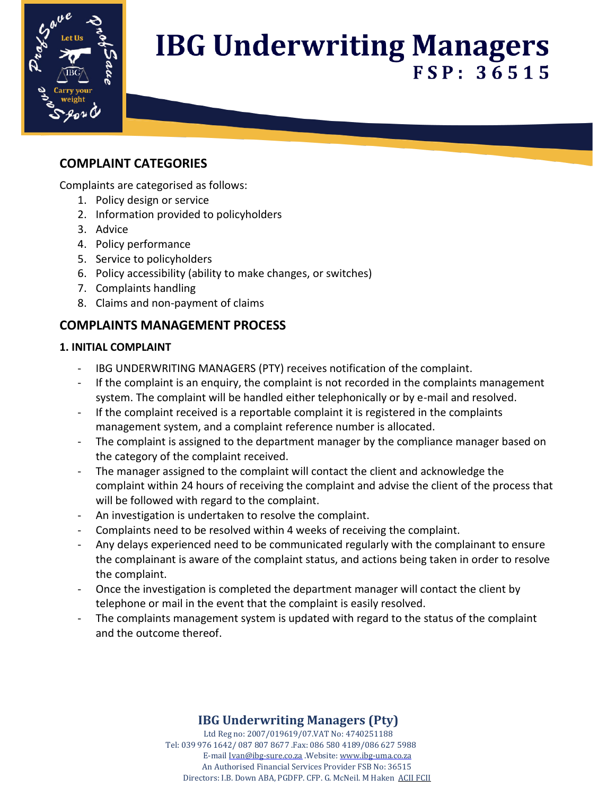

## **COMPLAINT CATEGORIES**

Complaints are categorised as follows:

- 1. Policy design or service
- 2. Information provided to policyholders
- 3. Advice
- 4. Policy performance
- 5. Service to policyholders
- 6. Policy accessibility (ability to make changes, or switches)
- 7. Complaints handling
- 8. Claims and non-payment of claims

## **COMPLAINTS MANAGEMENT PROCESS**

#### **1. INITIAL COMPLAINT**

- IBG UNDERWRITING MANAGERS (PTY) receives notification of the complaint.
- If the complaint is an enquiry, the complaint is not recorded in the complaints management system. The complaint will be handled either telephonically or by e-mail and resolved.
- If the complaint received is a reportable complaint it is registered in the complaints management system, and a complaint reference number is allocated.
- The complaint is assigned to the department manager by the compliance manager based on the category of the complaint received.
- The manager assigned to the complaint will contact the client and acknowledge the complaint within 24 hours of receiving the complaint and advise the client of the process that will be followed with regard to the complaint.
- An investigation is undertaken to resolve the complaint.
- Complaints need to be resolved within 4 weeks of receiving the complaint.
- Any delays experienced need to be communicated regularly with the complainant to ensure the complainant is aware of the complaint status, and actions being taken in order to resolve the complaint.
- Once the investigation is completed the department manager will contact the client by telephone or mail in the event that the complaint is easily resolved.
- The complaints management system is updated with regard to the status of the complaint and the outcome thereof.

## **IBG Underwriting Managers (Pty)**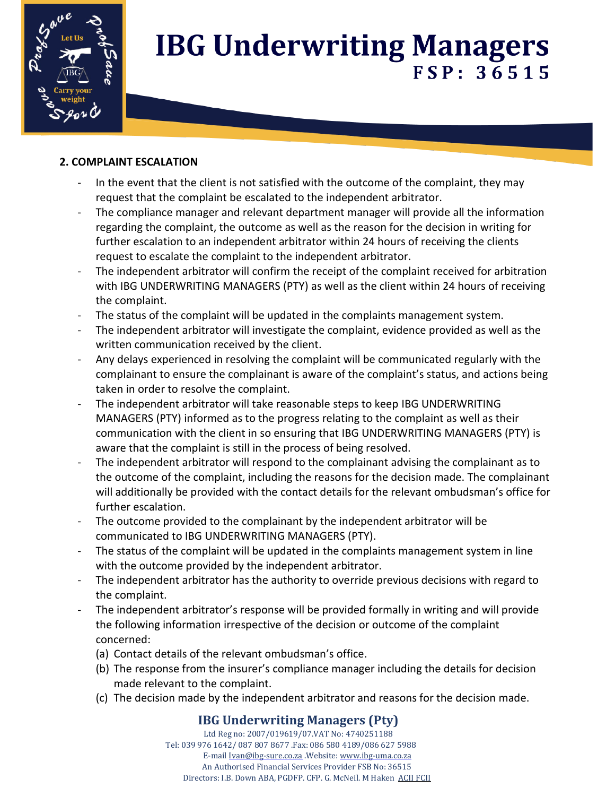

### **2. COMPLAINT ESCALATION**

- In the event that the client is not satisfied with the outcome of the complaint, they may request that the complaint be escalated to the independent arbitrator.
- The compliance manager and relevant department manager will provide all the information regarding the complaint, the outcome as well as the reason for the decision in writing for further escalation to an independent arbitrator within 24 hours of receiving the clients request to escalate the complaint to the independent arbitrator.
- The independent arbitrator will confirm the receipt of the complaint received for arbitration with IBG UNDERWRITING MANAGERS (PTY) as well as the client within 24 hours of receiving the complaint.
- The status of the complaint will be updated in the complaints management system.
- The independent arbitrator will investigate the complaint, evidence provided as well as the written communication received by the client.
- Any delays experienced in resolving the complaint will be communicated regularly with the complainant to ensure the complainant is aware of the complaint's status, and actions being taken in order to resolve the complaint.
- The independent arbitrator will take reasonable steps to keep IBG UNDERWRITING MANAGERS (PTY) informed as to the progress relating to the complaint as well as their communication with the client in so ensuring that IBG UNDERWRITING MANAGERS (PTY) is aware that the complaint is still in the process of being resolved.
- The independent arbitrator will respond to the complainant advising the complainant as to the outcome of the complaint, including the reasons for the decision made. The complainant will additionally be provided with the contact details for the relevant ombudsman's office for further escalation.
- The outcome provided to the complainant by the independent arbitrator will be communicated to IBG UNDERWRITING MANAGERS (PTY).
- The status of the complaint will be updated in the complaints management system in line with the outcome provided by the independent arbitrator.
- The independent arbitrator has the authority to override previous decisions with regard to the complaint.
- The independent arbitrator's response will be provided formally in writing and will provide the following information irrespective of the decision or outcome of the complaint concerned:
	- (a) Contact details of the relevant ombudsman's office.
	- (b) The response from the insurer's compliance manager including the details for decision made relevant to the complaint.
	- (c) The decision made by the independent arbitrator and reasons for the decision made.

## **IBG Underwriting Managers (Pty)**